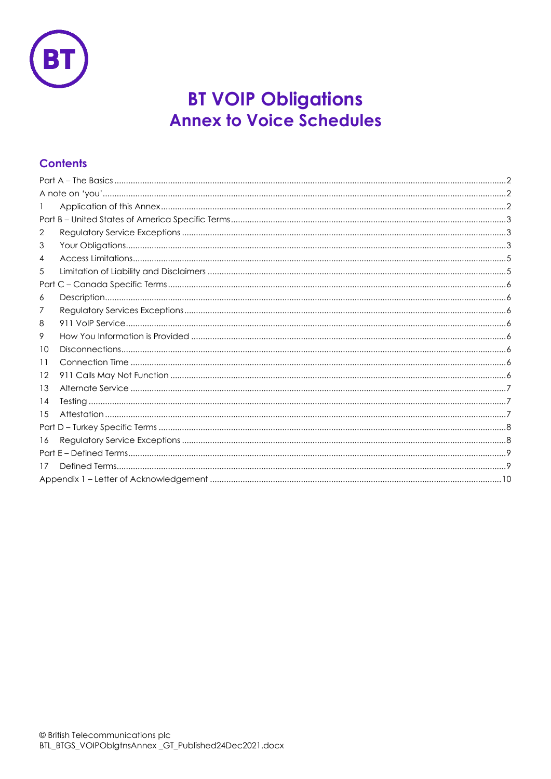

# **BT VOIP Obligations Annex to Voice Schedules**

# **Contents**

| 2       |  |  |
|---------|--|--|
| 3       |  |  |
| 4       |  |  |
| 5       |  |  |
|         |  |  |
| 6       |  |  |
| 7       |  |  |
| 8       |  |  |
| 9       |  |  |
| 10      |  |  |
| 11      |  |  |
| $12 \,$ |  |  |
| 13      |  |  |
| 14      |  |  |
| 15      |  |  |
| Part    |  |  |
| 16      |  |  |
|         |  |  |
| 17      |  |  |
|         |  |  |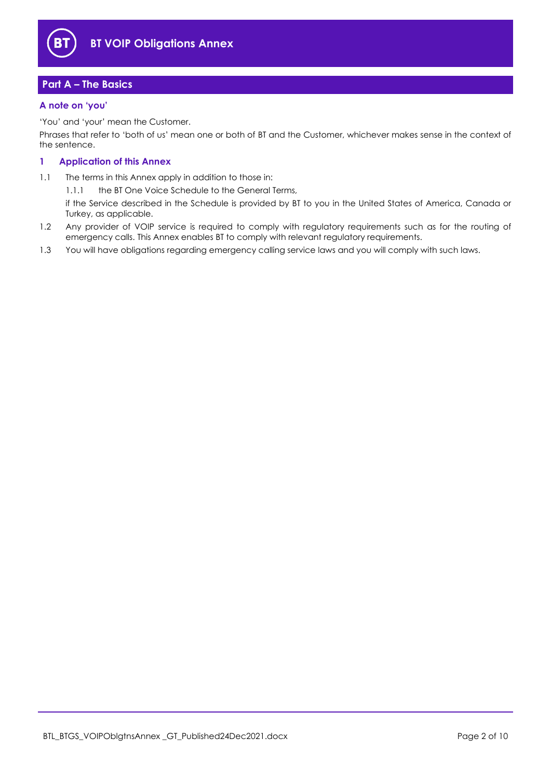

# <span id="page-1-0"></span>**Part A – The Basics**

# <span id="page-1-1"></span>**A note on 'you'**

'You' and 'your' mean the Customer.

Phrases that refer to 'both of us' mean one or both of BT and the Customer, whichever makes sense in the context of the sentence.

# <span id="page-1-2"></span>**1 Application of this Annex**

1.1 The terms in this Annex apply in addition to those in:

1.1.1 the BT One Voice Schedule to the General Terms,

if the Service described in the Schedule is provided by BT to you in the United States of America, Canada or Turkey, as applicable.

- 1.2 Any provider of VOIP service is required to comply with regulatory requirements such as for the routing of emergency calls. This Annex enables BT to comply with relevant regulatory requirements.
- 1.3 You will have obligations regarding emergency calling service laws and you will comply with such laws.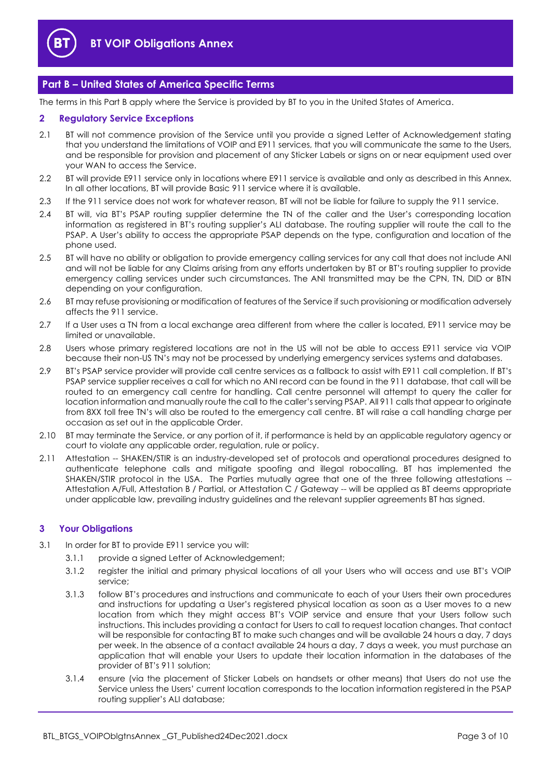

# <span id="page-2-0"></span>**Part B – United States of America Specific Terms**

The terms in this Part B apply where the Service is provided by BT to you in the United States of America.

## <span id="page-2-1"></span>**2 Regulatory Service Exceptions**

- 2.1 BT will not commence provision of the Service until you provide a signed Letter of Acknowledgement stating that you understand the limitations of VOIP and E911 services, that you will communicate the same to the Users, and be responsible for provision and placement of any Sticker Labels or signs on or near equipment used over your WAN to access the Service.
- 2.2 BT will provide E911 service only in locations where E911 service is available and only as described in this Annex. In all other locations, BT will provide Basic 911 service where it is available.
- 2.3 If the 911 service does not work for whatever reason, BT will not be liable for failure to supply the 911 service.
- 2.4 BT will, via BT's PSAP routing supplier determine the TN of the caller and the User's corresponding location information as registered in BT's routing supplier's ALI database. The routing supplier will route the call to the PSAP. A User's ability to access the appropriate PSAP depends on the type, configuration and location of the phone used.
- 2.5 BT will have no ability or obligation to provide emergency calling services for any call that does not include ANI and will not be liable for any Claims arising from any efforts undertaken by BT or BT's routing supplier to provide emergency calling services under such circumstances. The ANI transmitted may be the CPN, TN, DID or BTN depending on your configuration.
- 2.6 BT may refuse provisioning or modification of features of the Service if such provisioning or modification adversely affects the 911 service.
- 2.7 If a User uses a TN from a local exchange area different from where the caller is located, E911 service may be limited or unavailable.
- 2.8 Users whose primary registered locations are not in the US will not be able to access E911 service via VOIP because their non-US TN's may not be processed by underlying emergency services systems and databases.
- 2.9 BT's PSAP service provider will provide call centre services as a fallback to assist with E911 call completion. If BT's PSAP service supplier receives a call for which no ANI record can be found in the 911 database, that call will be routed to an emergency call centre for handling. Call centre personnel will attempt to query the caller for location information and manually route the call to the caller's serving PSAP. All 911 calls that appear to originate from 8XX toll free TN's will also be routed to the emergency call centre. BT will raise a call handling charge per occasion as set out in the applicable Order.
- 2.10 BT may terminate the Service, or any portion of it, if performance is held by an applicable regulatory agency or court to violate any applicable order, regulation, rule or policy.
- 2.11 Attestation -- SHAKEN/STIR is an industry-developed set of protocols and operational procedures designed to authenticate telephone calls and mitigate spoofing and illegal robocalling. BT has implemented the SHAKEN/STIR protocol in the USA. The Parties mutually agree that one of the three following attestations -- Attestation A/Full, Attestation B / Partial, or Attestation C / Gateway -- will be applied as BT deems appropriate under applicable law, prevailing industry guidelines and the relevant supplier agreements BT has signed.

#### <span id="page-2-2"></span>**3 Your Obligations**

- 3.1 In order for BT to provide E911 service you will:
	- 3.1.1 provide a signed Letter of Acknowledgement;
	- 3.1.2 register the initial and primary physical locations of all your Users who will access and use BT's VOIP service;
	- 3.1.3 follow BT's procedures and instructions and communicate to each of your Users their own procedures and instructions for updating a User's registered physical location as soon as a User moves to a new location from which they might access BT's VOIP service and ensure that your Users follow such instructions. This includes providing a contact for Users to call to request location changes. That contact will be responsible for contacting BT to make such changes and will be available 24 hours a day, 7 days per week. In the absence of a contact available 24 hours a day, 7 days a week, you must purchase an application that will enable your Users to update their location information in the databases of the provider of BT's 911 solution;
	- 3.1.4 ensure (via the placement of Sticker Labels on handsets or other means) that Users do not use the Service unless the Users' current location corresponds to the location information registered in the PSAP routing supplier's ALI database;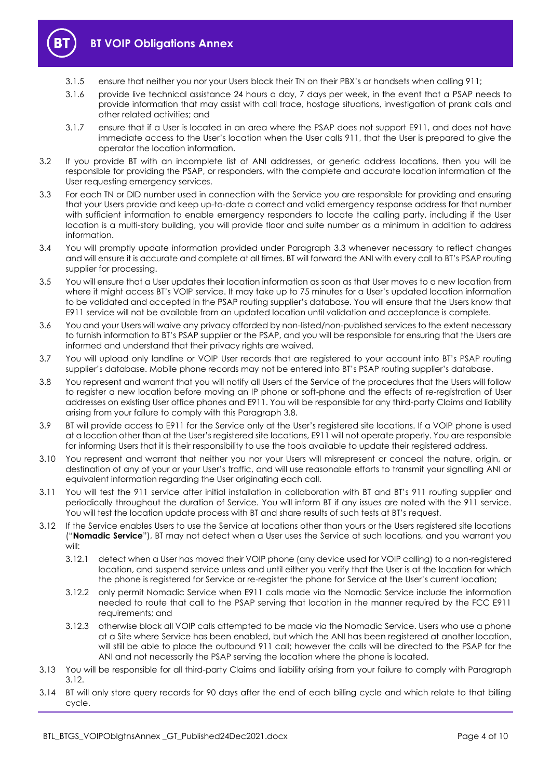

- 3.1.5 ensure that neither you nor your Users block their TN on their PBX's or handsets when calling 911;
- 3.1.6 provide live technical assistance 24 hours a day, 7 days per week, in the event that a PSAP needs to provide information that may assist with call trace, hostage situations, investigation of prank calls and other related activities; and
- 3.1.7 ensure that if a User is located in an area where the PSAP does not support E911, and does not have immediate access to the User's location when the User calls 911, that the User is prepared to give the operator the location information.
- 3.2 If you provide BT with an incomplete list of ANI addresses, or generic address locations, then you will be responsible for providing the PSAP, or responders, with the complete and accurate location information of the User requesting emergency services.
- <span id="page-3-0"></span>3.3 For each TN or DID number used in connection with the Service you are responsible for providing and ensuring that your Users provide and keep up-to-date a correct and valid emergency response address for that number with sufficient information to enable emergency responders to locate the calling party, including if the User location is a multi-story building, you will provide floor and suite number as a minimum in addition to address information.
- 3.4 You will promptly update information provided under Paragraph [3.3](#page-3-0) whenever necessary to reflect changes and will ensure it is accurate and complete at all times. BT will forward the ANI with every call to BT's PSAP routing supplier for processing.
- 3.5 You will ensure that a User updates their location information as soon as that User moves to a new location from where it might access BT's VOIP service. It may take up to 75 minutes for a User's updated location information to be validated and accepted in the PSAP routing supplier's database. You will ensure that the Users know that E911 service will not be available from an updated location until validation and acceptance is complete.
- 3.6 You and your Users will waive any privacy afforded by non-listed/non-published services to the extent necessary to furnish information to BT's PSAP supplier or the PSAP, and you will be responsible for ensuring that the Users are informed and understand that their privacy rights are waived.
- 3.7 You will upload only landline or VOIP User records that are registered to your account into BT's PSAP routing supplier's database. Mobile phone records may not be entered into BT's PSAP routing supplier's database.
- <span id="page-3-1"></span>3.8 You represent and warrant that you will notify all Users of the Service of the procedures that the Users will follow to register a new location before moving an IP phone or soft-phone and the effects of re-registration of User addresses on existing User office phones and E911. You will be responsible for any third-party Claims and liability arising from your failure to comply with this Paragrap[h 3.8.](#page-3-1)
- 3.9 BT will provide access to E911 for the Service only at the User's registered site locations. If a VOIP phone is used at a location other than at the User's registered site locations, E911 will not operate properly. You are responsible for informing Users that it is their responsibility to use the tools available to update their registered address.
- 3.10 You represent and warrant that neither you nor your Users will misrepresent or conceal the nature, origin, or destination of any of your or your User's traffic, and will use reasonable efforts to transmit your signalling ANI or equivalent information regarding the User originating each call.
- 3.11 You will test the 911 service after initial installation in collaboration with BT and BT's 911 routing supplier and periodically throughout the duration of Service. You will inform BT if any issues are noted with the 911 service. You will test the location update process with BT and share results of such tests at BT's request.
- <span id="page-3-2"></span>3.12 If the Service enables Users to use the Service at locations other than yours or the Users registered site locations ("**Nomadic Service**"), BT may not detect when a User uses the Service at such locations, and you warrant you will:
	- 3.12.1 detect when a User has moved their VOIP phone (any device used for VOIP calling) to a non-registered location, and suspend service unless and until either you verify that the User is at the location for which the phone is registered for Service or re-register the phone for Service at the User's current location;
	- 3.12.2 only permit Nomadic Service when E911 calls made via the Nomadic Service include the information needed to route that call to the PSAP serving that location in the manner required by the FCC E911 requirements; and
	- 3.12.3 otherwise block all VOIP calls attempted to be made via the Nomadic Service. Users who use a phone at a Site where Service has been enabled, but which the ANI has been registered at another location, will still be able to place the outbound 911 call; however the calls will be directed to the PSAP for the ANI and not necessarily the PSAP serving the location where the phone is located.
- 3.13 You will be responsible for all third-party Claims and liability arising from your failure to comply with Paragraph [3.12.](#page-3-2)
- 3.14 BT will only store query records for 90 days after the end of each billing cycle and which relate to that billing cycle.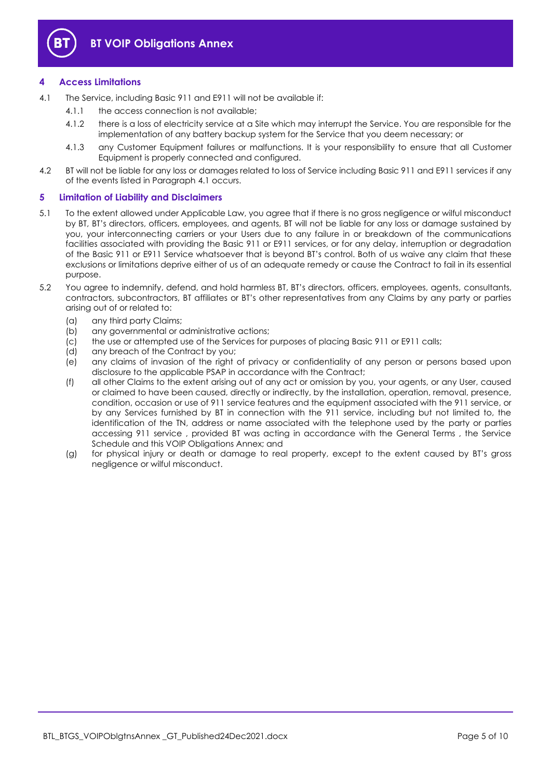

# <span id="page-4-0"></span>**4 Access Limitations**

- <span id="page-4-2"></span>4.1 The Service, including Basic 911 and E911 will not be available if:
	- 4.1.1 the access connection is not available;
	- 4.1.2 there is a loss of electricity service at a Site which may interrupt the Service. You are responsible for the implementation of any battery backup system for the Service that you deem necessary; or
	- 4.1.3 any Customer Equipment failures or malfunctions. It is your responsibility to ensure that all Customer Equipment is properly connected and configured.
- 4.2 BT will not be liable for any loss or damages related to loss of Service including Basic 911 and E911 services if any of the events listed in Paragraph [4.1](#page-4-2) occurs.

# <span id="page-4-1"></span>**5 Limitation of Liability and Disclaimers**

- 5.1 To the extent allowed under Applicable Law, you agree that if there is no gross negligence or wilful misconduct by BT, BT's directors, officers, employees, and agents, BT will not be liable for any loss or damage sustained by you, your interconnecting carriers or your Users due to any failure in or breakdown of the communications facilities associated with providing the Basic 911 or E911 services, or for any delay, interruption or degradation of the Basic 911 or E911 Service whatsoever that is beyond BT's control. Both of us waive any claim that these exclusions or limitations deprive either of us of an adequate remedy or cause the Contract to fail in its essential purpose.
- 5.2 You agree to indemnify, defend, and hold harmless BT, BT's directors, officers, employees, agents, consultants, contractors, subcontractors, BT affiliates or BT's other representatives from any Claims by any party or parties arising out of or related to:
	- (a) any third party Claims;
	- (b) any governmental or administrative actions;
	- (c) the use or attempted use of the Services for purposes of placing Basic 911 or E911 calls;
	- (d) any breach of the Contract by you;
	- (e) any claims of invasion of the right of privacy or confidentiality of any person or persons based upon disclosure to the applicable PSAP in accordance with the Contract;
	- (f) all other Claims to the extent arising out of any act or omission by you, your agents, or any User, caused or claimed to have been caused, directly or indirectly, by the installation, operation, removal, presence, condition, occasion or use of 911 service features and the equipment associated with the 911 service, or by any Services furnished by BT in connection with the 911 service, including but not limited to, the identification of the TN, address or name associated with the telephone used by the party or parties accessing 911 service , provided BT was acting in accordance with the General Terms , the Service Schedule and this VOIP Obligations Annex; and
	- (g) for physical injury or death or damage to real property, except to the extent caused by BT's gross negligence or wilful misconduct.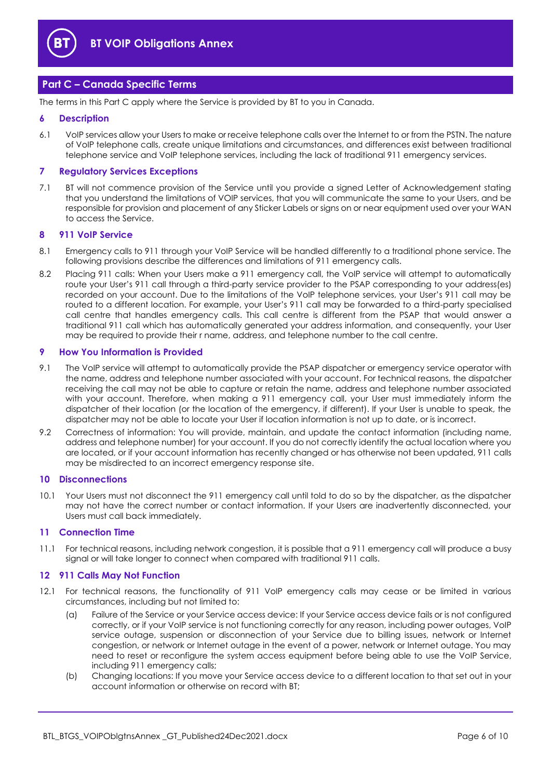

# <span id="page-5-0"></span>**Part C – Canada Specific Terms**

The terms in this Part C apply where the Service is provided by BT to you in Canada.

#### <span id="page-5-1"></span>**6 Description**

6.1 VoIP services allow your Users to make or receive telephone calls over the Internet to or from the PSTN. The nature of VoIP telephone calls, create unique limitations and circumstances, and differences exist between traditional telephone service and VoIP telephone services, including the lack of traditional 911 emergency services.

#### <span id="page-5-2"></span>**7 Regulatory Services Exceptions**

7.1 BT will not commence provision of the Service until you provide a signed Letter of Acknowledgement stating that you understand the limitations of VOIP services, that you will communicate the same to your Users, and be responsible for provision and placement of any Sticker Labels or signs on or near equipment used over your WAN to access the Service.

#### <span id="page-5-3"></span>**8 911 VoIP Service**

- 8.1 Emergency calls to 911 through your VoIP Service will be handled differently to a traditional phone service. The following provisions describe the differences and limitations of 911 emergency calls.
- 8.2 Placing 911 calls: When your Users make a 911 emergency call, the VoIP service will attempt to automatically route your User's 911 call through a third-party service provider to the PSAP corresponding to your address(es) recorded on your account. Due to the limitations of the VoIP telephone services, your User's 911 call may be routed to a different location. For example, your User's 911 call may be forwarded to a third-party specialised call centre that handles emergency calls. This call centre is different from the PSAP that would answer a traditional 911 call which has automatically generated your address information, and consequently, your User may be required to provide their r name, address, and telephone number to the call centre.

#### <span id="page-5-4"></span>**9 How You Information is Provided**

- 9.1 The VoIP service will attempt to automatically provide the PSAP dispatcher or emergency service operator with the name, address and telephone number associated with your account. For technical reasons, the dispatcher receiving the call may not be able to capture or retain the name, address and telephone number associated with your account. Therefore, when making a 911 emergency call, your User must immediately inform the dispatcher of their location (or the location of the emergency, if different). If your User is unable to speak, the dispatcher may not be able to locate your User if location information is not up to date, or is incorrect.
- 9.2 Correctness of information: You will provide, maintain, and update the contact information (including name, address and telephone number) for your account. If you do not correctly identify the actual location where you are located, or if your account information has recently changed or has otherwise not been updated, 911 calls may be misdirected to an incorrect emergency response site.

#### <span id="page-5-5"></span>**10 Disconnections**

10.1 Your Users must not disconnect the 911 emergency call until told to do so by the dispatcher, as the dispatcher may not have the correct number or contact information. If your Users are inadvertently disconnected, your Users must call back immediately.

#### <span id="page-5-6"></span>**11 Connection Time**

11.1 For technical reasons, including network congestion, it is possible that a 911 emergency call will produce a busy signal or will take longer to connect when compared with traditional 911 calls.

#### <span id="page-5-7"></span>**12 911 Calls May Not Function**

- 12.1 For technical reasons, the functionality of 911 VoIP emergency calls may cease or be limited in various circumstances, including but not limited to:
	- (a) Failure of the Service or your Service access device: If your Service access device fails or is not configured correctly, or if your VoIP service is not functioning correctly for any reason, including power outages, VoIP service outage, suspension or disconnection of your Service due to billing issues, network or Internet congestion, or network or Internet outage in the event of a power, network or Internet outage. You may need to reset or reconfigure the system access equipment before being able to use the VoIP Service, including 911 emergency calls;
	- (b) Changing locations: If you move your Service access device to a different location to that set out in your account information or otherwise on record with BT;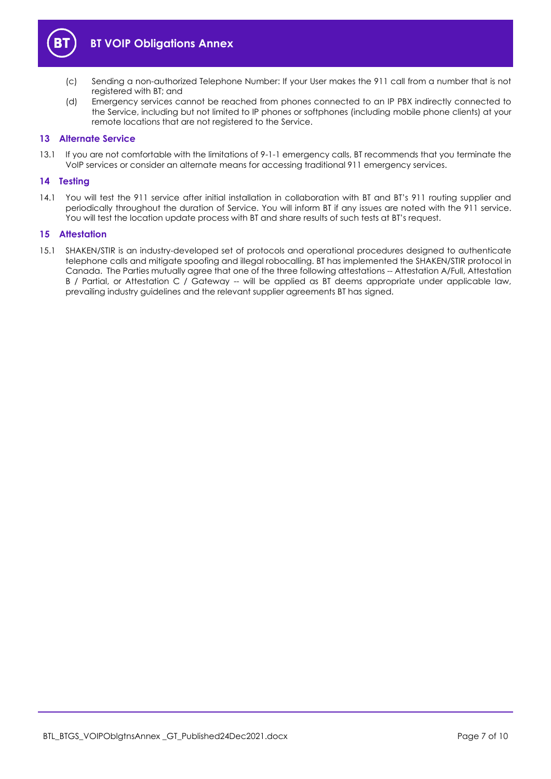

- (c) Sending a non-authorized Telephone Number: If your User makes the 911 call from a number that is not registered with BT; and
- (d) Emergency services cannot be reached from phones connected to an IP PBX indirectly connected to the Service, including but not limited to IP phones or softphones (including mobile phone clients) at your remote locations that are not registered to the Service.

# <span id="page-6-0"></span>**13 Alternate Service**

13.1 If you are not comfortable with the limitations of 9-1-1 emergency calls, BT recommends that you terminate the VoIP services or consider an alternate means for accessing traditional 911 emergency services.

# <span id="page-6-1"></span>**14 Testing**

14.1 You will test the 911 service after initial installation in collaboration with BT and BT's 911 routing supplier and periodically throughout the duration of Service. You will inform BT if any issues are noted with the 911 service. You will test the location update process with BT and share results of such tests at BT's request.

# <span id="page-6-2"></span>**15 Attestation**

15.1 SHAKEN/STIR is an industry-developed set of protocols and operational procedures designed to authenticate telephone calls and mitigate spoofing and illegal robocalling. BT has implemented the SHAKEN/STIR protocol in Canada. The Parties mutually agree that one of the three following attestations -- Attestation A/Full, Attestation B / Partial, or Attestation C / Gateway -- will be applied as BT deems appropriate under applicable law, prevailing industry guidelines and the relevant supplier agreements BT has signed.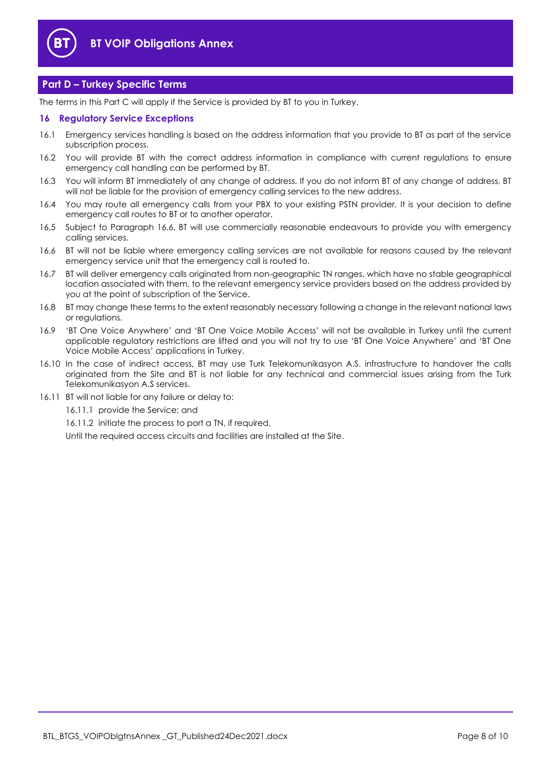

# <span id="page-7-0"></span>**Part D – Turkey Specific Terms**

The terms in this Part C will apply if the Service is provided by BT to you in Turkey.

# <span id="page-7-1"></span>**16 Regulatory Service Exceptions**

- 16.1 Emergency services handling is based on the address information that you provide to BT as part of the service subscription process.
- 16.2 You will provide BT with the correct address information in compliance with current regulations to ensure emergency call handling can be performed by BT.
- 16.3 You will inform BT immediately of any change of address. If you do not inform BT of any change of address, BT will not be liable for the provision of emergency calling services to the new address.
- 16.4 You may route all emergency calls from your PBX to your existing PSTN provider. It is your decision to define emergency call routes to BT or to another operator.
- 16.5 Subject to Paragraph [16.6,](#page-7-2) BT will use commercially reasonable endeavours to provide you with emergency calling services.
- <span id="page-7-2"></span>16.6 BT will not be liable where emergency calling services are not available for reasons caused by the relevant emergency service unit that the emergency call is routed to.
- 16.7 BT will deliver emergency calls originated from non-geographic TN ranges, which have no stable geographical location associated with them, to the relevant emergency service providers based on the address provided by you at the point of subscription of the Service.
- 16.8 BT may change these terms to the extent reasonably necessary following a change in the relevant national laws or regulations.
- 16.9 'BT One Voice Anywhere' and 'BT One Voice Mobile Access' will not be available in Turkey until the current applicable regulatory restrictions are lifted and you will not try to use 'BT One Voice Anywhere' and 'BT One Voice Mobile Access' applications in Turkey.
- 16.10 In the case of indirect access, BT may use Turk Telekomunikasyon A.S. infrastructure to handover the calls originated from the Site and BT is not liable for any technical and commercial issues arising from the Turk Telekomunikasyon A.S services.
- 16.11 BT will not liable for any failure or delay to:
	- 16.11.1 provide the Service; and

16.11.2 initiate the process to port a TN, if required,

Until the required access circuits and facilities are installed at the Site.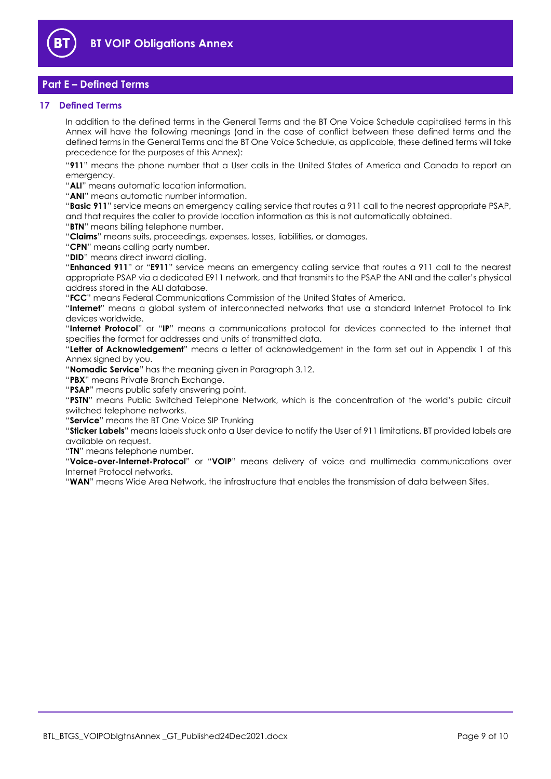

# <span id="page-8-0"></span>**Part E – Defined Terms**

# <span id="page-8-1"></span>**17 Defined Terms**

In addition to the defined terms in the General Terms and the BT One Voice Schedule capitalised terms in this Annex will have the following meanings (and in the case of conflict between these defined terms and the defined terms in the General Terms and the BT One Voice Schedule, as applicable, these defined terms will take precedence for the purposes of this Annex):

"**911**" means the phone number that a User calls in the United States of America and Canada to report an emergency.

"**ALI**" means automatic location information.

"**ANI**" means automatic number information.

"**Basic 911**" service means an emergency calling service that routes a 911 call to the nearest appropriate PSAP, and that requires the caller to provide location information as this is not automatically obtained.

"**BTN**" means billing telephone number.

"**Claims**" means suits, proceedings, expenses, losses, liabilities, or damages.

"**CPN**" means calling party number.

"**DID**" means direct inward dialling.

"**Enhanced 911**" or "**E911**" service means an emergency calling service that routes a 911 call to the nearest appropriate PSAP via a dedicated E911 network, and that transmits to the PSAP the ANI and the caller's physical address stored in the ALI database.

"**FCC**" means Federal Communications Commission of the United States of America.

"**Internet**" means a global system of interconnected networks that use a standard Internet Protocol to link devices worldwide.

"**Internet Protocol**" or "**IP**" means a communications protocol for devices connected to the internet that specifies the format for addresses and units of transmitted data.

"**Letter of Acknowledgement**" means a letter of acknowledgement in the form set out in Appendix 1 of this Annex signed by you.

"**Nomadic Service**" has the meaning given in Paragrap[h 3.12.](#page-3-2)

"**PBX**" means Private Branch Exchange.

"**PSAP**" means public safety answering point.

"**PSTN**" means Public Switched Telephone Network, which is the concentration of the world's public circuit switched telephone networks.

"**Service**" means the BT One Voice SIP Trunking

"**Sticker Labels**" means labels stuck onto a User device to notify the User of 911 limitations. BT provided labels are available on request.

"**TN**" means telephone number.

"**Voice-over-Internet-Protocol**" or "**VOIP**" means delivery of voice and multimedia communications over Internet Protocol networks.

"**WAN**" means Wide Area Network, the infrastructure that enables the transmission of data between Sites.